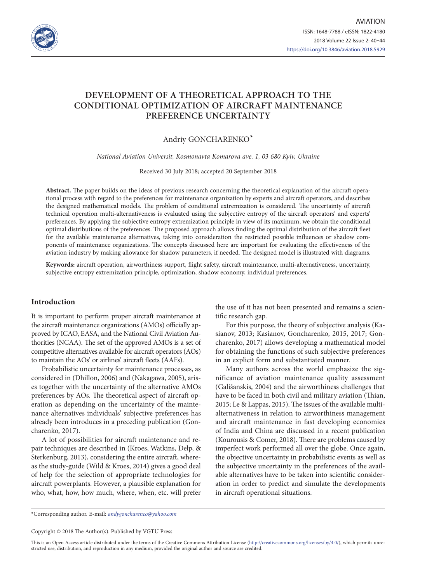

# **DEVELOPMENT OF A THEORETICAL APPROACH TO THE CONDITIONAL OPTIMIZATION OF AIRCRAFT MAINTENANCE PREFERENCE UNCERTAINTY**

Andriy GONCHARENKO\*

*National Aviation Universit, Kosmonavta Komarova ave. 1, 03 680 Kyiv, Ukraine*

Received 30 July 2018; accepted 20 September 2018

**Abstract.** The paper builds on the ideas of previous research concerning the theoretical explanation of the aircraft operational process with regard to the preferences for maintenance organization by experts and aircraft operators, and describes the designed mathematical models. The problem of conditional extremization is considered. The uncertainty of aircraft technical operation multi-alternativeness is evaluated using the subjective entropy of the aircraft operators' and experts' preferences. By applying the subjective entropy extremization principle in view of its maximum, we obtain the conditional optimal distributions of the preferences. The proposed approach allows finding the optimal distribution of the aircraft fleet for the available maintenance alternatives, taking into consideration the restricted possible influences or shadow components of maintenance organizations. The concepts discussed here are important for evaluating the effectiveness of the aviation industry by making allowance for shadow parameters, if needed. The designed model is illustrated with diagrams.

**Keywords:** aircraft operation, airworthiness support, flight safety, aircraft maintenance, multi-alternativeness, uncertainty, subjective entropy extremization principle, optimization, shadow economy, individual preferences.

## **Introduction**

It is important to perform proper aircraft maintenance at the aircraft maintenance organizations (AMOs) officially approved by ICAO, EASA, and the National Civil Aviation Authorities (NCAA). The set of the approved AMOs is a set of competitive alternatives available for aircraft operators (AOs) to maintain the AOs' or airlines' aircraft fleets (AAFs).

Probabilistic uncertainty for maintenance processes, as considered in (Dhillon, 2006) and (Nakagawa, 2005), arises together with the uncertainty of the alternative AMOs preferences by AOs. The theoretical aspect of aircraft operation as depending on the uncertainty of the maintenance alternatives individuals' subjective preferences has already been introduces in a preceding publication (Goncharenko, 2017).

A lot of possibilities for aircraft maintenance and repair techniques are described in (Kroes, Watkins, Delp, & Sterkenburg, 2013), considering the entire aircraft, whereas the study-guide (Wild & Kroes, 2014) gives a good deal of help for the selection of appropriate technologies for aircraft powerplants. However, a plausible explanation for who, what, how, how much, where, when, etc. will prefer the use of it has not been presented and remains a scientific research gap.

For this purpose, the theory of subjective analysis (Kasianov, 2013; Kasianov, Goncharenko, 2015, 2017; Goncharenko, 2017) allows developing a mathematical model for obtaining the functions of such subjective preferences in an explicit form and substantiated manner.

Many authors across the world emphasize the significance of aviation maintenance quality assessment (Gališanskis, 2004) and the airworthiness challenges that have to be faced in both civil and military aviation (Thian, 2015; Le & Lappas, 2015). The issues of the available multialternativeness in relation to airworthiness management and aircraft maintenance in fast developing economies of India and China are discussed in a recent publication (Kourousis & Comer, 2018). There are problems caused by imperfect work performed all over the globe. Once again, the objective uncertainty in probabilistic events as well as the subjective uncertainty in the preferences of the available alternatives have to be taken into scientific consideration in order to predict and simulate the developments in aircraft operational situations.

\*Corresponding author. E-mail: *[andygoncharenco@yahoo.com](mailto:andygoncharenco@yahoo.com)*

Copyright © 2018 The Author(s). Published by VGTU Press

This is an Open Access article distributed under the terms of the Creative Commons Attribution License [\(http://creativecommons.org/licenses/by/4.0/](http://creativecommons.org/licenses/by/4.0/)), which permits unrestricted use, distribution, and reproduction in any medium, provided the original author and source are credited.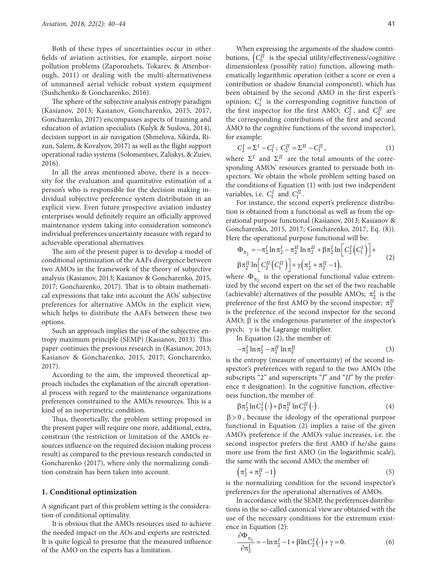Both of these types of uncertainties occur in other fields of aviation activities, for example, airport noise pollution problems (Zaporozhets, Tokarev, & Attenborough, 2011) or dealing with the multi-alternativeness of unmanned aerial vehicle robust system equipment (Sushchenko & Goncharenko, 2016).

The sphere of the subjective analysis entropy paradigm (Kasianov, 2013; Kasianov, Goncharenko, 2015, 2017; Goncharenko, 2017) encompasses aspects of training and education of aviation specialists (Kulyk & Suslova, 2014), decision support in air navigation (Shmelova, Sikirda, Rizun, Salem, & Kovalyov, 2017) as well as the flight support operational radio systems (Solomentsev, Zaliskyi, & Zuiev, 2016).

In all the areas mentioned above, there is a necessity for the evaluation and quantitative estimation of a person's who is responsible for the decision making individual subjective preference system distribution in an explicit view. Even future prospective aviation industry enterprises would definitely require an officially approved maintenance system taking into consideration someone's individual preferences uncertainty measure with regard to achievable operational alternatives.

The aim of the present paper is to develop a model of conditional optimization of the AAFs divergence between two AMOs in the framework of the theory of subjective analysis (Kasianov, 2013; Kasianov & Goncharenko, 2015, 2017; Goncharenko, 2017). That is to obtain mathematical expressions that take into account the AOs' subjective preferences for alternative AMOs in the explicit view, which helps to distribute the AAFs between these two options.

Such an approach implies the use of the subjective entropy maximum principle (SEMP) (Kasianov, 2013). This paper continues the previous research in (Kasianov, 2013; Kasianov & Goncharenko, 2015, 2017; Goncharenko, 2017).

According to the aim, the improved theoretical approach includes the explanation of the aircraft operational process with regard to the maintenance organizations preferences constrained to the AMOs resources. This is a kind of an isoperimetric condition.

Thus, theoretically, the problem setting proposed in the present paper will require one more, additional, extra, constrain (the restriction or limitation of the AMOs resources influence on the required decision making process result) as compared to the previous research conducted in Goncharenko (2017), where only the normalizing condition constrain has been taken into account.

#### **1. Conditional optimization**

A significant part of this problem setting is the consideration of conditional optimality.

It is obvious that the AMOs resources used to achieve the needed impact on the AOs and experts are restricted. It is quite logical to presume that the measured influence of the AMO on the experts has a limitation.

When expressing the arguments of the shadow contributions,  $\left( C_1^H \right)$  is the special utility/effectiveness/cognitive dimensionless (possibly ratio) function, allowing mathematically logarithmic operation (either a score or even a contribution or shadow financial component), which has been obtained by the second AMO in the first expert's opinion;  $C_1^I$  is the corresponding cognitive function of the first inspector for the first AMO;  $C_2^I$ , and  $C_2^{II}$  are the corresponding contributions of the first and second AMO to the cognitive functions of the second inspector), for example:

$$
C_2^I = \Sigma^I - C_1^I; \ C_2^{II} = \Sigma^{II} - C_1^{II}, \tag{1}
$$

where  $\Sigma^I$  and  $\Sigma^{II}$  are the total amounts of the corresponding AMOs' resources granted to persuade both inspectors. We obtain the whole problem setting based on the conditions of Equation (1) with just two independent variables, i.e.  $C_1^I$  and  $C_1^I$ .

For instance, the second expert's preference distribution is obtained from a functional as well as from the operational purpose functional (Kasianov, 2013; Kasianov & Goncharenko, 2015, 2017; Goncharenko, 2017, Eq. (8)). Here the operational purpose functional will be:

$$
\Phi_{\pi_2} = -\pi_2^I \ln \pi_2^I - \pi_2^H \ln \pi_2^H + \beta \pi_2^I \ln \left[ C_2^I \left( C_1^I \right) \right] +
$$
  
\n
$$
\beta \pi_2^H \ln \left[ C_2^H \left( C_1^H \right) \right] + \gamma \left( \pi_2^I + \pi_2^H - 1 \right),
$$
\n(2)

where  $\Phi_{\pi}$  is the operational functional value extremized by the second expert on the set of the two reachable (achievable) alternatives of the possible AMOs;  $\pi_2^I$  is the preference of the first AMO by the second inspector;  $\pi_2^{\text{II}}$ is the preference of the second inspector for the second AMO;  $\beta$  is the endogenous parameter of the inspector's psych;  $\gamma$  is the Lagrange multiplier.

In Equation (2), the member of:  $-\pi_2^I \ln \pi_2^I - \pi_2^{II} \ln \pi_2^{II}$  (3)

is the entropy (measure of uncertainty) of the second inspector's preferences with regard to the two AMOs (the subscripts "2" and superscripts "*I*" and "*II*" by the preference  $\pi$  designation). In the cognitive function, effectiveness function, the member of:

$$
\beta \pi_2^I \ln C_2^I(\cdot) + \beta \pi_2^{II} \ln C_2^{II}(\cdot). \tag{4}
$$

 $\beta > 0$ , because the ideology of the operational purpose functional in Equation (2) implies a raise of the given AMO's preference if the AMO's value increases, i.e. the second inspector prefers the first AMO if he/she gains more use from the first AMO (in the logarithmic scale), the same with the second AMO; the member of:

$$
\left(\pi_2^I + \pi_2^{II} - 1\right) \tag{5}
$$

is the normalizing condition for the second inspector's preferences for the operational alternatives of AMOs.

In accordance with the SEMP, the preferences distributions in the so-called canonical view are obtained with the use of the necessary conditions for the extremum existence in Equation (2):

$$
\frac{\partial \Phi_{\pi_2}}{\partial \pi_2^I} = -\ln \pi_2^I - 1 + \beta \ln C_2^I(\cdot) + \gamma = 0.
$$
 (6)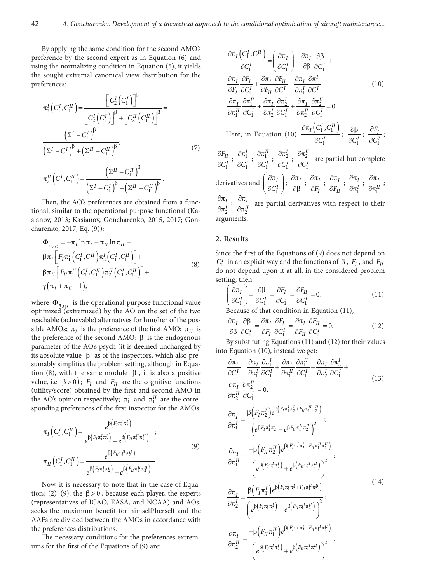By applying the same condition for the second AMO's preference by the second expert as in Equation (6) and using the normalizing condition in Equation (5), it yields the sought extremal canonical view distribution for the preferences:

$$
\pi_2^I \left( C_1^I, C_1^H \right) = \frac{\left[ C_2^I \left( C_1^I \right) \right]^{\beta}}{\left[ C_2^I \left( C_1^I \right) \right]^{\beta} + \left[ C_2^H \left( C_1^H \right) \right]^{\beta}} = \frac{\left( \Sigma^I - C_1^I \right)^{\beta}}{\left( \Sigma^I - C_1^I \right)^{\beta} + \left( \Sigma^H - C_1^H \right)^{\beta}}; \tag{7}
$$

$$
\pi_2^{II}\left(C_1^I,C_1^{II}\right) = \frac{\left(\Sigma^{II}-C_1^{II}\right)^{\beta}}{\left(\Sigma^{I}-C_1^I\right)^{\beta}+\left(\Sigma^{II}-C_1^{II}\right)^{\beta}}.
$$

Then, the AO's preferences are obtained from a functional, similar to the operational purpose functional (Kasianov, 2013; Kasianov, Goncharenko, 2015, 2017; Goncharenko, 2017, Eq. (9)):

$$
\Phi_{\pi_{AO}} = -\pi_I \ln \pi_I - \pi_{II} \ln \pi_{II} +
$$
\n
$$
\beta \pi_I \Big[ F_I \pi_1^I \Big( C_1^I, C_1^{II} \Big) \pi_2^I \Big( C_1^I, C_1^{II} \Big) \Big] +
$$
\n
$$
\beta \pi_{II} \Big[ F_{II} \pi_1^{II} \Big( C_1^I, C_1^{II} \Big) \pi_2^{II} \Big( C_1^I, C_1^{II} \Big) \Big] +
$$
\n
$$
\gamma \big( \pi_I + \pi_{II} - 1 \big),
$$
\n(8)

where  $\Phi_{\pi_{AO}}$  is the operational purpose functional value optimized (extremized) by the AO on the set of the two reachable (achievable) alternatives for him/her of the possible AMOs;  $\pi_I$  is the preference of the first AMO;  $\pi_{II}$  is the preference of the second AMO;  $\beta$  is the endogenous parameter of the AO's psych (it is deemed unchanged by its absolute value  $\left|\beta\right|$  as of the inspectors', which also presumably simplifies the problem setting, although in Equation (8), with the same module  $\left|\beta\right|$ , it is also a positive value, i.e.  $\beta > 0$ );  $F_I$  and  $F_{II}$  are the cognitive functions (utility/score) obtained by the first and second AMO in the AO's opinion respectively;  $\pi_1^I$  and  $\pi_1^{II}$  are the corresponding preferences of the first inspector for the AMOs.

$$
\pi_{I}\left(C_{1}^{I}, C_{1}^{II}\right) = \frac{e^{\beta\left(F_{I}\pi_{1}^{I}\pi_{2}^{I}\right)}}{e^{\beta\left(F_{I}\pi_{1}^{I}\pi_{2}^{I}\right)} + e^{\beta\left(F_{II}\pi_{1}^{II}\pi_{2}^{II}\right)}}; \n\pi_{II}\left(C_{1}^{I}, C_{1}^{II}\right) = \frac{e^{\beta\left(F_{II}\pi_{1}^{II}\pi_{2}^{II}\right)}}{e^{\beta\left(F_{I}\pi_{1}^{I}\pi_{2}^{I}\right)} + e^{\beta\left(F_{II}\pi_{1}^{II}\pi_{2}^{II}\right)}}.
$$
\n(9)

Now, it is necessary to note that in the case of Equations (2)–(9), the  $\beta > 0$ , because each player, the experts (representatives of ICAO, EASA, and NCAA) and AOs, seeks the maximum benefit for himself/herself and the AAFs are divided between the AMOs in accordance with the preferences distributions.

The necessary conditions for the preferences extremums for the first of the Equations of (9) are:

$$
\frac{\partial \pi_I (C_1^I, C_1^H)}{\partial C_1^I} = \left(\frac{\partial \pi_I}{\partial C_1^I}\right) + \frac{\partial \pi_I}{\partial \beta} \frac{\partial \beta_I}{\partial C_1^I} + \frac{\partial \pi_I}{\partial F_I} \frac{\partial F_I}{\partial C_1^I} + \frac{\partial \pi_I}{\partial F_{II}} \frac{\partial F_{II}}{\partial C_1^I} + \frac{\partial \pi_I}{\partial F_{II}} \frac{\partial F_{II}}{\partial C_1^I} + \frac{\partial \pi_I}{\partial F_{II}} \frac{\partial F_I}{\partial C_1^I} + \frac{\partial \pi_I}{\partial F_{II}} \frac{\partial F_I}{\partial C_1^I} + \frac{\partial \pi_I}{\partial F_{II}} \frac{\partial F_I}{\partial C_1^I} + \frac{\partial \pi_I}{\partial F_{II}} \frac{\partial F_{II}}{\partial C_1^I} + \frac{\partial \pi_I}{\partial F_{II}} \frac{\partial F_{II}}{\partial C_1^I} = 0.
$$
  
\nHere, in Equation (10)  $\frac{\partial \pi_I (C_1^I, C_1^{II})}{\partial C_1^I}; \frac{\partial \beta_I}{\partial C_1^I}; \frac{\partial F_I}{\partial C_1^I}; \frac{\partial F_I}{\partial C_1^I}; \frac{\partial F_I}{\partial C_1^I} \text{ are partial but complete\nderivatives and  $\left(\frac{\partial \pi_I}{\partial C_1^I}\right); \frac{\partial \pi_I}{\partial \beta}; \frac{\partial \pi_I}{\partial F_I}; \frac{\partial \pi_I}{\partial F_{II}}; \frac{\partial \pi_I}{\partial F_{II}}; \frac{\partial \pi_I}{\partial F_{II}^I}; \frac{\partial \pi_I}{\partial F_{II}^I}; \frac{\partial \pi_I}{\partial F_{II}^I}; \frac{\partial \pi_I}{\partial F_{II}^I}$   
\n $\frac{\partial \pi_I}{\partial \pi_I^I}; \frac{\partial \pi_I}{\partial \pi_I^I}$  are partial derivatives with respect to their  
\narguments.$ 

## **2. Results**

Since the first of the Equations of (9) does not depend on  $C_1^I$  in an explicit way and the functions of  $\beta$  ,  $F_I$  , and  $F_{II}$ do not depend upon it at all, in the considered problem setting, then

$$
\left(\frac{\partial \pi_I}{\partial C_1^I}\right) = \frac{\partial \beta}{\partial C_1^I} = \frac{\partial F_I}{\partial C_1^I} = \frac{\partial F_{II}}{\partial C_1^I} = 0.
$$
\n(11)

Because of that condition in Equation (11),

$$
\frac{\partial \pi_I}{\partial \beta} \frac{\partial \beta}{\partial C_1^I} = \frac{\partial \pi_I}{\partial F_I} \frac{\partial F_I}{\partial C_1^I} = \frac{\partial \pi_I}{\partial F_{II}} \frac{\partial F_{II}}{\partial C_1^I} = 0.
$$
 (12)

By substituting Equations (11) and (12) for their values into Equation (10), instead we get:

$$
\frac{\partial \pi_I}{\partial C_1^I} = \frac{\partial \pi_I}{\partial \pi_1^I} \frac{\partial \pi_I^I}{\partial C_1^I} + \frac{\partial \pi_I}{\partial \pi_1^I} \frac{\partial \pi_I^I}{\partial C_1^I} + \frac{\partial \pi_I}{\partial \pi_2^I} \frac{\partial \pi_I^I}{\partial C_1^I} + \frac{\partial \pi_I}{\partial \pi_2^I} \frac{\partial \pi_I^I}{\partial C_1^I} = 0.
$$
\n
$$
\frac{\partial \pi_I}{\partial \pi_1^I} = \frac{\beta (F_I \pi_2^I) e^{\beta (F_I \pi_1^I \pi_2^I + F_{II} \pi_1^I \pi_2^I)}}{(e^{\beta F_I \pi_1^I \pi_2^I} + e^{\beta F_{II} \pi_1^I \pi_2^I})^2};
$$
\n
$$
\frac{\partial \pi_I}{\partial \pi_1^I} = \frac{-\beta (F_{II} \pi_2^I) e^{\beta (F_I \pi_1^I \pi_2^I + F_{II} \pi_1^I \pi_2^I)}}{(e^{\beta (F_I \pi_1^I \pi_2^I)} + e^{\beta (F_{II} \pi_1^I \pi_2^I)})^2};
$$
\n
$$
\frac{\partial \pi_I}{\partial \pi_2^I} = \frac{\beta (F_I \pi_1^I) e^{\beta (F_I \pi_1^I \pi_2^I + F_{II} \pi_1^I \pi_2^I)}}{(e^{\beta (F_I \pi_1^I \pi_2^I)} + e^{\beta (F_{II} \pi_1^I \pi_2^I)})^2};
$$
\n
$$
\frac{\partial \pi_I}{\partial \pi_2^I} = \frac{-\beta (F_{II} \pi_1^I) e^{\beta (F_I \pi_1^I \pi_2^I + F_{II} \pi_1^I \pi_2^I)}}{(e^{\beta (F_I \pi_1^I \pi_2^I)} + e^{\beta (F_{II} \pi_1^I \pi_2^I)})^2}.
$$
\n(14)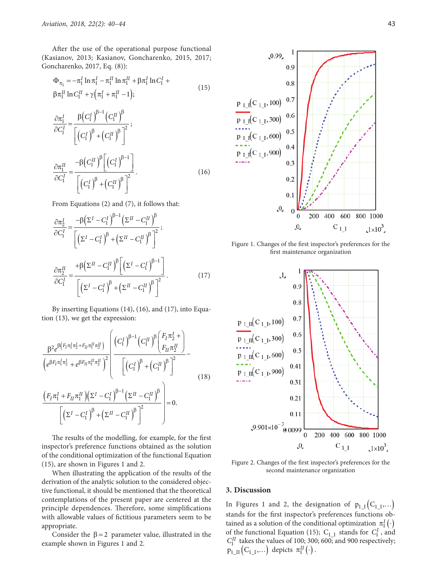After the use of the operational purpose functional (Kasianov, 2013; Kasianov, Goncharenko, 2015, 2017; Goncharenko, 2017, Eq. (8)):

$$
\Phi_{\pi_1} = -\pi_1^I \ln \pi_1^I - \pi_1^{II} \ln \pi_1^{II} + \beta \pi_1^I \ln C_1^I + \beta \pi_1^{II} \ln C_1^{II} + \gamma \left( \pi_1^I + \pi_1^{II} - 1 \right);
$$
\n(15)

$$
\frac{\partial \pi_1^I}{\partial C_1^I} = \frac{\beta \left(C_1^I\right)^{\beta - 1} \left(C_1^H\right)^{\beta}}{\left[\left(C_1^I\right)^{\beta} + \left(C_1^H\right)^{\beta}\right]^2};
$$
\n
$$
\frac{\partial \pi_1^H}{\partial C_1^I} = \frac{-\beta \left(C_1^H\right)^{\beta} \left[\left(C_1^I\right)^{\beta - 1}\right]}{\left[\left(C_1^I\right)^{\beta} + \left(C_1^H\right)^{\beta}\right]^2}.
$$
\n(16)

From Equations (2) and (7), it follows that:

$$
\frac{\partial \pi_2^I}{\partial C_1^I} = \frac{-\beta \left(\Sigma^I - C_1^I\right)^{\beta - 1} \left(\Sigma^I - C_1^I\right)^{\beta}}{\left[\left(\Sigma^I - C_1^I\right)^{\beta} + \left(\Sigma^I - C_1^I\right)^{\beta}\right]^2};
$$
\n
$$
\frac{\partial \pi_2^I}{\partial C_1^I} = \frac{+\beta \left(\Sigma^I - C_1^I\right)^{\beta} \left[\left(\Sigma^I - C_1^I\right)^{\beta - 1}\right]}{\left[\left(\Sigma^I - C_1^I\right)^{\beta} + \left(\Sigma^I - C_1^I\right)^{\beta}\right]^2}.
$$
\n(17)

By inserting Equations (14), (16), and (17), into Equation (13), we get the expression:

$$
\frac{\beta^{2} e^{\beta \left(F_{I}\pi_{1}^{I}\pi_{2}^{I} + F_{II}\pi_{1}^{II}\pi_{2}^{I}\right)}}{\left(e^{\beta F_{I}\pi_{1}^{I}\pi_{2}^{I}} + e^{\beta F_{II}\pi_{1}^{II}\pi_{2}^{I}\right)^{2}}\right|} \frac{\left(C_{1}^{I}\right)^{\beta-1} \left(C_{1}^{II}\right)^{\beta} \left(F_{I}\pi_{2}^{I}\right)}{\left[\left(C_{1}^{I}\right)^{\beta} + \left(C_{1}^{II}\right)^{\beta}\right]^{2}} - \frac{\left(F_{I}\pi_{1}^{I} + F_{II}\pi_{1}^{II}\right)\left(\sum I - C_{1}^{I}\right)^{\beta-1} \left(\sum II - C_{1}^{II}\right)^{\beta}}{\left[\left(\sum I - C_{1}^{I}\right)^{\beta} + \left(\sum II - C_{1}^{II}\right)^{\beta}\right]^{2}}\right] = 0.
$$
\n(18)

The results of the modelling, for example, for the first inspector's preference functions obtained as the solution of the conditional optimization of the functional Equation (15), are shown in Figures 1 and 2.

When illustrating the application of the results of the derivation of the analytic solution to the considered objective functional, it should be mentioned that the theoretical contemplations of the present paper are centered at the principle dependences. Therefore, some simplifications with allowable values of fictitious parameters seem to be appropriate.

Consider the  $\beta = 2$  parameter value, illustrated in the example shown in Figures 1 and 2.



Figure 1. Changes of the first inspector's preferences for the first maintenance organization



Figure 2. Changes of the first inspector's preferences for the second maintenance organization

#### **3. Discussion**

In Figures 1 and 2, the designation of  $p_{1,I} ( C_{1,I} , \ldots )$ stands for the first inspector's preferences functions obtained as a solution of the conditional optimization  $\pi_1^I(\cdot)$ of the functional Equation (15);  $C_{1,I}$  stands for  $C_1^I$ , and  $C_1^{II}$  takes the values of 100; 300; 600; and 900 respectively;  $p_{1\_II}\big(C_{1\_I}, \ldots\big)$  depicts  $\pi_1^{II}\big(\cdot\big)$  .